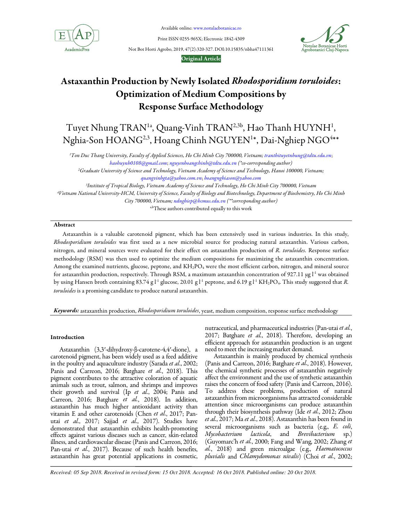

Available online: www.notulaebotanicae.ro

Print ISSN 0255-965X; Electronic 1842-4309

Not Bot Horti Agrobo, 2019, 47(2):320-327. DOI:10.15835/nbha47111361



#### Original Article

# Astaxanthin Production by Newly Isolated Rhodosporidium toruloides: Optimization of Medium Compositions by Response Surface Methodology

Tuyet Nhung TRAN<sup>1a</sup>, Quang-Vinh TRAN<sup>2,3b</sup>, Hao Thanh HUYNH<sup>1</sup>, Nghia-Son  $\rm HOANG^{2,3},$  Hoang Chinh  $\rm NGUYEN^{1*},$  Dai-Nghiep  $\rm NGO^{4**}$ 

<sup>1</sup>Ton Duc Thang University, Faculty of Applied Sciences, Ho Chi Minh City 700000, Vietnam; tranthituyetnhung@tdtu.edu.vn; haohuynh0108@gmail.com; nguyenhoangchinh@tdtu.edu.vn (\*co-corresponding author)

<sup>2</sup>Graduate University of Science and Technology, Vietnam Academy of Science and Technology, Hanoi 100000, Vietnam;

quangvinhgta@yahoo.com.vn; hoangnghiason@yahoo.com

3 Institute of Tropical Biology, Vietnam Academy of Science and Technology, Ho Chi Minh City 700000, Vietnam <sup>4</sup>Vietnam National University-HCM, University of Science, Faculty of Biology and Biotechnology, Department of Biochemistry, Ho Chi Minh City 700000, Vietnam; ndnghiep@hcmus.edu.vn (\*\*corresponding author)

a,bThese authors contributed equally to this work

# Abstract

Astaxanthin is a valuable carotenoid pigment, which has been extensively used in various industries. In this study, Rhodosporidium toruloides was first used as a new microbial source for producing natural astaxanthin. Various carbon, nitrogen, and mineral sources were evaluated for their effect on astaxanthin production of R. toruloides. Response surface methodology (RSM) was then used to optimize the medium compositions for maximizing the astaxanthin concentration. Among the examined nutrients, glucose, peptone, and  $KH_2PO_4$  were the most efficient carbon, nitrogen, and mineral source for astaxanthin production, respectively. Through RSM, a maximum astaxanthin concentration of 927.11 µg  $l<sup>-1</sup>$  was obtained by using Hansen broth containing 83.74 g  $l$ <sup>-1</sup> glucose, 20.01 g  $l$ <sup>-1</sup> peptone, and 6.19 g  $l$ <sup>-1</sup> KH<sub>2</sub>PO<sub>4</sub>. This study suggested that R. toruloides is a promising candidate to produce natural astaxanthin.

Keywords: astaxanthin production, Rhodosporidium toruloides, yeast, medium composition, response surface methodology

## Introduction

Astaxanthin (3,3′-dihydroxy-β-carotene-4,4′-dione), a carotenoid pigment, has been widely used as a feed additive in the poultry and aquaculture industry (Sarada et al., 2002; Panis and Carreon, 2016; Batghare et al., 2018). This pigment contributes to the attractive coloration of aquatic animals such as trout, salmon, and shrimps and improves their growth and survival (Ip et al., 2004; Panis and Carreon, 2016; Batghare et al., 2018). In addition, astaxanthin has much higher antioxidant activity than vitamin E and other carotenoids (Chen et al., 2017; Panutai et al., 2017; Sajjad et al., 2017). Studies have demonstrated that astaxanthin exhibits health-promoting effects against various diseases such as cancer, skin-related illness, and cardiovascular disease (Panis and Carreon, 2016; Pan-utai et al., 2017). Because of such health benefits, astaxanthin has great potential applications in cosmetic,

nutraceutical, and pharmaceutical industries (Pan-utai et al., 2017; Batghare et al., 2018). Therefore, developing an efficient approach for astaxanthin production is an urgent need to meet the increasing market demand.

Astaxanthin is mainly produced by chemical synthesis (Panis and Carreon, 2016; Batghare et al., 2018). However, the chemical synthetic processes of astaxanthin negatively affect the environment and the use of synthetic astaxanthin raises the concern of food safety (Panis and Carreon, 2016). To address these problems, production of natural astaxanthin from microorganisms has attracted considerable attention since microorganisms can produce astaxanthin through their biosynthesis pathway (Ide et al., 2012; Zhou et al., 2017; Ma et al., 2018). Astaxanthin has been found in several microorganisms such as bacteria (e.g., E. coli, Mycobacterium lacticola, and Brevibacterium sp.) (Guyomarc'h et al., 2000; Fang and Wang, 2002; Zhang et al., 2018) and green microalgae (e.g., Haematococcus pluvialis and Chlamydomonas nivalis) (Choi et al., 2002;

*Received: 05 Sep 2018. Received in revised form: 15 Oct 2018. Accepted: 16 Oct 2018. Published online: 20 Oct 2018.*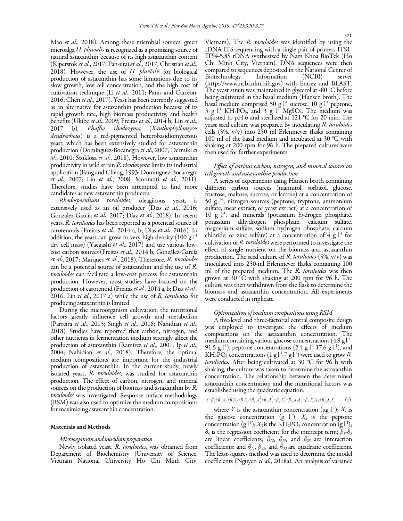Mao et al., 2018). Among these microbial sources, green microalga H. pluvialis is recognized as a promising source of natural astaxanthin because of its high astaxanthin content (Kiperstok et al., 2017; Pan-utai et al., 2017; Christian et al., 2018). However, the use of H. pluvialis for biological production of astaxanthin has some limitations due to its slow growth, low cell concentration, and the high cost of cultivation technique (Li et al., 2011; Panis and Carreon, 2016; Chen et al., 2017). Yeast has been currently suggested as an alternative for astaxanthin production because of its rapid growth rate, high biomass productivity, and health benefits (Ukibe et al., 2009; Freitas et al., 2014 b; Lin et al., 2017 b). Phaffia rhodozyma (Xanthophyllomyces dendrorhous) is a red-pigmented heterobasidiomycetous yeast, which has been extensively studied for astaxanthin production (Domínguez-Bocanegra et al., 2007; Dermiki et al., 2010; Stoklosa et al., 2018). However, low astaxanthin productivity in wild strain P. rhodozyma limits its industrial application (Fang and Cheng, 1993; Domínguez-Bocanegra et al., 2007; Liu et al., 2008; Montanti et al., 2011). Therefore, studies have been attempted to find more candidates as new astaxanthin producers.

Rhodosporidium toruloides, oleaginous yeast, is extensively used as an oil producer (Dias et al., 2016; González-García et al., 2017; Díaz et al., 2018). In recent years, R. toruloides has been reported as a potential source of carotenoids (Freitas et al., 2014 a, b; Dias et al., 2016). In addition, the yeast can grow to very high density  $(100 \text{ g} \cdot \text{L}^1)$ dry cell mass) (Yaegashi *et al.*, 2017) and use various lowcost carbon sources(Freitas et al., 2014 b; González-García et al., 2017; Marques et al., 2018). Therefore, R. toruloides can be a potential source of astaxanthin and the use of R. toruloides can facilitate a low-cost process for astaxanthin production. However, most studies have focused on the production of carotenoid (Freitas et al., 2014 a, b; Dias et al., 2016; Lin et al., 2017 a) while the use of R. toruloides for producing astaxanthin is limited.

During the microorganism cultivation, the nutritional factors greatly influence cell growth and metabolism (Parreira et al., 2015; Singh et al., 2016; Nahidian et al., 2018). Studies have reported that carbon, nitrogen, and other nutrients in fermentation medium strongly affect the production of astaxanthin (Ramirez et al., 2001; Ip et al., 2004; Nahidian et al., 2018). Therefore, the optimal medium compositions are important for the industrial production of astaxanthin. In the current study, newly isolated yeast, R. toruloides, was studied for astaxanthin production. The effect of carbon, nitrogen, and mineral sources on the production of biomass and astaxanthin by R. toruloides was investigated. Response surface methodology (RSM) was also used to optimize the medium compositions for maximizing astaxanthin concentration.

#### Materials and Methods

#### Microorganism and inoculum preparation

Newly isolated yeast, R. toruloides, was obtained from Department of Biochemistry (University of Science, Vietnam National University Ho Chi Minh City, Vietnam). The R. toruloides was identified by using the rDNA-ITS sequencing with a single pair of primers ITS1- ITS4-5.8S rDNA synthesized by Nam Khoa BioTek (Ho Chi Minh City, Vietnam). DNA sequences were then compared to sequences deposited in the National Center of Biotechnology Information (NCBI) server (http://www.ncbi.nlm.nih.gov) with Entrez and BLAST. The yeast strain was maintained in glycerol at -80 °C before being cultivated in the basal medium (Hansen broth). The basal medium comprised 50 g  $l^1$  sucrose, 10 g  $l^1$  peptone,  $3$  g  $l^1$  KH<sub>2</sub>PO<sub>4</sub>, and  $3$  g  $l^1$  MgSO<sub>4</sub>. The medium was adjusted to pH 6 and sterilized at 121 °C for 20 min. The yeast seed culture was prepared by inoculating R. toruloides cells (5%, v/v) into 250 ml Erlenmeyer flasks containing 100 ml of the basal medium and incubated at 30 °C with shaking at 200 rpm for 96 h. The prepared cultures were then used for further experiments.

## Effect of various carbon, nitrogen, and mineral sources on cell growth and astaxanthin production

A series of experiments using Hansen broth containing different carbon sources (mannitol, sorbitol, glucose, fructose, maltose, sucrose, or lactose) at a concentration of 50 g  $l^{-1}$ , nitrogen sources (peptone, tryptone, ammonium sulfate, meat extract, or yeast extract) at a concentration of  $10$  g  $1<sup>1</sup>$ , and minerals (potassium hydrogen phosphate, potassium dihydrogen phosphate, calcium sulfate, magnesium sulfate, sodium hydrogen phosphate, calcium chloride, or zinc sulfate) at a concentration of  $4 \text{ g} l^1$  for cultivation of R. toruloides were performed to investigate the effect of single nutrient on the biomass and astaxanthin production. The seed culture of R. toruloides (5%, v/v) was inoculated into 250-ml Erlenmeyer flasks containing 100 ml of the prepared medium. The R. toruloides was then grown at 30 °C with shaking at 200 rpm for 96 h. The culture was then withdrawn from the flask to determine the biomass and astaxanthin concentration. All experiments were conducted in triplicate.

#### Optimization of medium compositions using RSM

A five-level and three-factorial central composite design was employed to investigate the effects of medium compositions on the astaxanthin concentration. The medium containing various glucose concentrations (4.9 g l $^{\rm l}$  -91.5 g  $\vert$ <sup>1</sup>), peptone concentrations (2.4 g  $\vert$ <sup>1</sup>-17.6 g  $\vert$ <sup>1</sup>), and KH<sub>2</sub>PO<sub>4</sub> concentrations (1 g<sup>1-1</sup>-7 g<sup>1</sup><sup>1</sup>) were used to grow R. toruloides. After being cultivated at 30 °C for 96 h with shaking, the culture was taken to determine the astaxanthin concentration. The relationship between the determined astaxanthin concentration and the nutritional factors was established using the quadratic equation:

$$
Z = \beta_0 + \beta_1 X_1 + \beta_2 X_2 + \beta_3 X_3 + \beta_{11} X_1^2 + \beta_{22} X_2^2 + \beta_{33} X_3^2 + \beta_{12} X_1 X_2 + \beta_{13} X_1 X_3 + \beta_{23} X_2 X_3 \tag{1}
$$

where Y is the astaxanthin concentration ( $\mu$ g l<sup>-1</sup>);  $X_I$  is the glucose concentration (g  $1$ <sup>1</sup>);  $X_2$  is the peptone concentration (g  $\vert f^1\rangle$ ;  $X_3$  is the KH<sub>2</sub>PO<sub>4</sub> concentration (g  $\vert f^1\rangle$ ;  $\beta_0$  is the regression coefficient for the intercept term;  $\beta_1$ - $\beta_3$ are linear coefficients;  $\beta_{12}$ ,  $\beta_{13}$ , and  $\beta_{23}$  are interaction coefficients; and  $\beta_{11}$ ,  $\beta_{22}$ , and  $\beta_{33}$  are quadratic coefficients. The least-squares method was used to determine the model coefficients (Nguyen et al., 2018a). An analysis of variance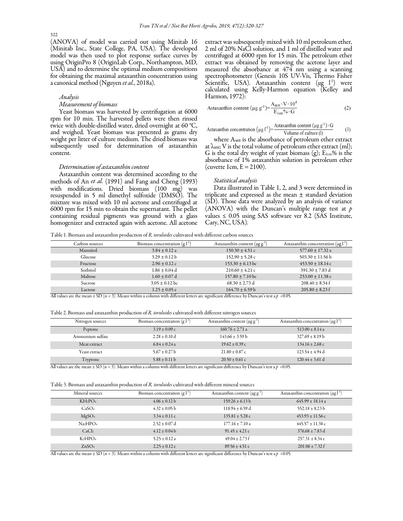(ANOVA) of model was carried out using Minitab 16 (Minitab Inc., State College, PA, USA). The developed model was then used to plot response surface curves by using OriginPro 8 (OriginLab Corp., Northampton, MD, USA) and to determine the optimal medium compositions for obtaining the maximal astaxanthin concentration using a canonical method (Nguyen et al., 2018a).

## Analysis

#### Measurement of biomass

Yeast biomass was harvested by centrifugation at 6000 rpm for 10 min. The harvested pellets were then rinsed twice with double-distilled water, dried overnight at 60 °C, and weighed. Yeast biomass was presented as grams dry weight per litter of culture medium. The dried biomass was subsequently used for determination of astaxanthin content.

#### Determination of astaxanthin content

Astaxanthin content was determined according to the methods of An *et al.* (1991) and Fang and Cheng (1993) with modifications. Dried biomass (100 mg) was resuspended in 5 ml dimethyl sulfoxide (DMSO). The mixture was mixed with 10 ml acetone and centrifuged at 6000 rpm for 15 min to obtain the supernatant. The pellet containing residual pigments was ground with a glass homogenizer and extracted again with acetone. All acetone extract was subsequently mixed with 10 ml petroleum ether, 2 ml of 20% NaCl solution, and 1 ml of distilled water and centrifuged at 6000 rpm for 15 min. The petroleum ether extract was obtained by removing the acetone layer and measured the absorbance at 474 nm using a scanning spectrophotometer (Genesis 10S UV-Vis, Thermo Fisher Scientific, USA). Astaxanthin content  $(\mu g \t{1})$  were calculated using Kelly-Harmon equation (Kelley and Harmon, 1972):

$$
\text{Astaxanthin content (}\mu\text{g g}^{-1}) = \frac{A_{468} \times V \times 10^4}{E_{1\text{cm}}\% \times G} \tag{2}
$$

Astaxanthin concentration 
$$
(\mu g I^{-1}) = \frac{\text{Astaxanthin content } (\mu g g^{-1}) \times G}{\text{Volume of culture (1)}}
$$
 (3)

where  $A_{468}$  is the absorbance of petroleum ether extract at  $\lambda_{468}$ ; V is the total volume of petroleum ether extract (ml); G is the total dry weight of yeast biomass  $(g)$ ;  $E_{1cm}\%$  is the absorbance of 1% astaxanthin solution in petroleum ether (cuvette 1cm,  $E = 2100$ ).

#### Statistical analysis

Data illustrated in Table 1, 2, and 3 were determined in triplicate and expressed as the mean  $\pm$  standard deviation (SD). Those data were analyzed by an analysis of variance (ANOVA) with the Duncan's multiple range test at  $p$ values ≤  $0.05$  using SAS software ver 8.2 (SAS Institute, Cary, NC, USA).

Table 1. Biomass and astaxanthin production of R. toruloides cultivated with different carbon sources

| Carbon sources | Biomass concentration $(g_1^{\text{-}1})$ | Astaxanthin content ( $\mu$ g g <sup>-1</sup> ) | Astaxanthin concentration $(\mu g l^{-1})$ |
|----------------|-------------------------------------------|-------------------------------------------------|--------------------------------------------|
| Mannitol       | $3.84 + 0.12$ a                           | $150.30 \pm 4.51$ c                             | $577.60 + 17.32$ a                         |
| Glucose        | $3.29 + 0.12 b$                           | $152.90 \pm 5.28$ c                             | $503.30 + 11.56 b$                         |
| Fructose       | $2.96 \pm 0.12$ c                         | $153.30 + 6.13$ bc                              | $453.50 + 18.14c$                          |
| Sorbitol       | $1.86 + 0.04$ d                           | $210.60 \pm 4.21$ c                             | $391.30 + 7.83$ d                          |
| Maltose        | $1.60 + 0.07$ d                           | $157.80 \pm 7.10$ bc                            | $253.00 + 11.38$ e                         |
| Sucrose        | $3.05 \pm 0.12$ bc                        | $68.30 + 2.73$ d                                | $208.40 + 8.34$ f                          |
| Lactose        | $1.25 \pm 0.05$ e                         | $164.70 + 6.59 b$                               | $205.80 + 8.23$ f                          |

All values are the mean  $\pm$  SD (n = 3). Means within a column with different letters are significant difference by Duncan's test a p <0.05.

Table 2. Biomass and astaxanthin production of R. toruloides cultivated with different nitrogen sources

| Nitrogen sources                                                                     | Biomass concentration $(g l-1)$                                             | Astaxanthin content $(\mu g g^{-1})$             | Astaxanthin concentration $(\mu g)^{-1}$    |
|--------------------------------------------------------------------------------------|-----------------------------------------------------------------------------|--------------------------------------------------|---------------------------------------------|
| Peptone                                                                              | $3.19 \pm 0.09$ c                                                           | $160.76 \pm 2.71$ a                              | $513.00 \pm 8.14$ a                         |
| Ammonium sulfate                                                                     | $2.28 \pm 0.10$ d                                                           | $143.66 \pm 3.59$ b                              | $327.69 \pm 8.19$ b                         |
| Meat extract                                                                         | $6.84 \pm 0.24$ a                                                           | $19.62 \pm 0.39$ c                               | $134.16 \pm 2.68$ c                         |
| Yeast extract                                                                        | $5.67 \pm 0.27$ b                                                           | $21.80 \pm 0.87$ c                               | $123.54 \pm 4.94$ d                         |
| Tryptone<br>$\cdot$ $\cdot$ $\cdot$ $\cdot$<br>$\sim$ $\sim$<br>$\sim$ $\sim$ $\sim$ | $5.88 \pm 0.11 \text{ b}$<br>$\cdot$ 1 $\cdot$ $\cdot$<br>$\cdot$ 1 $\cdot$ | $20.50 \pm 0.61$ c<br>1.02<br>$\alpha$<br>$\sim$ | $120.44 \pm 3.61$ d<br>$\sim$ $\sim$ $\sim$ |

All values are the mean  $\pm$  SD (n = 3). Means within a column with different letters are significant difference by Duncan's test a p <0.05.

Table 3. Biomass and astaxanthin production of R. toruloides cultivated with different mineral sources

| Mineral sources                  | Biomass concentration $(g l-1)$ | Astaxanthin content $(\mu g g^{-1})$ | Astaxanthin concentration $(\mu g l^{-1})$ |
|----------------------------------|---------------------------------|--------------------------------------|--------------------------------------------|
| $KH_2PO_4$                       | $4.06 \pm 0.12 b$               | $159.26 \pm 6.13$ b                  | $645.99 \pm 18.14$ a                       |
| CaSO <sub>4</sub>                | $4.32 \pm 0.05$ b               | $118.94 \pm 6.59$ d                  | $552.18 \pm 8.23 b$                        |
| MgSO <sub>4</sub>                | $3.34 \pm 0.11$ c               | $135.81 \pm 5.28$ c                  | $453.93 \pm 11.56$ c                       |
| Na <sub>2</sub> HPO <sub>4</sub> | $2.52 \pm 0.07$ d               | $177.16 \pm 7.10$ a                  | $445.57 \pm 11.38$ c                       |
| CaCl <sub>2</sub>                | $4.12 \pm 0.04 b$               | $91.45 \pm 4.21$ e                   | $376.68 \pm 7.83$ d                        |
| $K_2HPO_4$                       | $5.25 \pm 0.12$ a               | $49.04 \pm 2.73$ f                   | $257.31 \pm 8.34$ e                        |
| ZnSO <sub>4</sub>                | $2.25 \pm 0.12$ e               | $89.56 \pm 4.51$ e                   | $201.06 \pm 7.32$ f                        |

All values are the mean  $\pm$  SD (n = 3). Means within a column with different letters are significant difference by Duncan's test a p <0.05.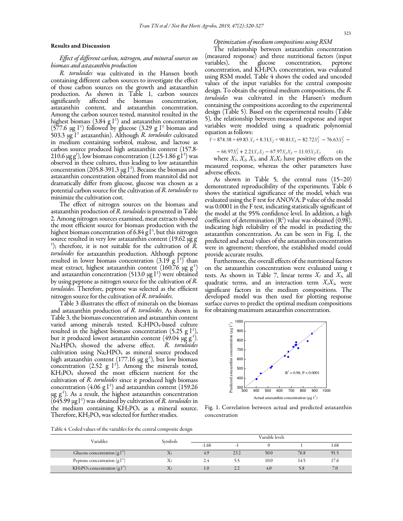#### Results and Discussion

# Effect of different carbon, nitrogen, and mineral sources on biomass and astaxanthin production

R. toruloides was cultivated in the Hansen broth containing different carbon sources to investigate the effect of those carbon sources on the growth and astaxanthin production. As shown in Table 1, carbon sources affected the astaxanthin content, and astaxanthin concentration. Among the carbon sources tested, mannitol resulted in the highest biomass (3.84 g  $l^{-1}$ ) and astaxanthin concentration (577.6  $\mu$ g l<sup>-1</sup>) followed by glucose (3.29 g l<sup>-1</sup> biomass and 503.3  $\mu$ g l<sup>-1</sup> astaxanthin). Although *R. toruloides* cultivated in medium containing sorbitol, maltose, and lactose as carbon source produced high astaxanthin content (157.8- 210.6  $\mu$ g g<sup>1</sup>), low biomass concentration (1.25-1.86 g<sup>11</sup>) was observed in these cultures, thus leading to low astaxanthin concentration (205.8-391.3  $\mu$ g l<sup>-1</sup>). Because the biomass and astaxanthin concentration obtained from mannitol did not dramatically differ from glucose, glucose was chosen as a potential carbon source for the cultivation of R. toruloides to minimize the cultivation cost.

The effect of nitrogen sources on the biomass and astaxanthin production of R. toruloides is presented in Table 2. Among nitrogen sources examined, meat extracts showed the most efficient source for biomass production with the highest biomass concentration of 6.84 g  $I<sup>1</sup>$ , but this nitrogen source resulted in very low astaxanthin content  $(19.62 \mu g)$ <sup>1</sup>); therefore, it is not suitable for the cultivation of  $\tilde{R}$ . toruloides for astaxanthin production. Although peptone resulted in lower biomass concentration  $(3.19 \text{ g } ^{1}^{\text{i}})$  than meat extract, highest astaxanthin content (160.76  $\mu$ g g<sup>-1</sup>) and astaxanthin concentration (513.0  $\mu$ g l<sup>-1</sup>) were obtained by using peptone as nitrogen source for the cultivation of R. toruloides. Therefore, peptone was selected as the efficient nitrogen source for the cultivation of R. toruloides.

Table 3 illustrates the effect of minerals on the biomass and astaxanthin production of R. toruloides. As shown in Table 3, the biomass concentration and astaxanthin content varied among minerals tested. K<sub>2</sub>HPO<sub>4</sub>-based culture resulted in the highest biomass concentration  $(5.25 \text{ g l}^{-1})$ , but it produced lowest astaxanthin content (49.04  $\mu$ g g<sup>-1</sup>). Na<sub>2</sub>HPO<sub>4</sub> showed the adverse effect. R. toruloides cultivation using  $Na<sub>2</sub>HPO<sub>4</sub>$  as mineral source produced high astaxanthin content (177.16  $\mu$ g g<sup>-1</sup>), but low biomass concentration (2.52 g  $1^1$ ). Among the minerals tested, KH2PO4 showed the most efficient nutrient for the cultivation of R. toruloides since it produced high biomass concentration (4.06 g  $l^{-1}$ ) and astaxanthin content (159.26  $\mu$ g g<sup>-1</sup>). As a result, the highest astaxanthin concentration  $(645.99 \,\mathrm{\upmu g\,l^{\text{-}1}})$  was obtained by cultivation of *R. toruloides* in the medium containing  $KH_2PO_4$  as a mineral source. Therefore,  $KH_2PO_4$  was selected for further studies.

# Optimization of medium compositions using RSM

The relationship between astaxanthin concentration (measured response) and three nutritional factors (input variables), the glucose concentration, peptone concentration, and  $\rm KH_2PO_4$  concentration, was evaluated using RSM model. Table 4 shows the coded and uncoded values of the input variables for the central composite design. To obtain the optimal medium compositions, the R. toruloides was cultivated in the Hansen's medium containing the compositions according to the experimental design (Table 5). Based on the experimental results (Table 5), the relationship between measured response and input variables were modeled using a quadratic polynomial equation as follows:

 $Y = 874.38 + 69.83 X<sub>1</sub> + 8.31X<sub>2</sub> + 90.81X<sub>3</sub> - 82.72X<sub>1</sub><sup>2</sup> - 76.63X<sub>2</sub><sup>2</sup> -$ 

$$
-66.97X_3^2 + 2.21X_1X_2 - 67.97X_1X_3 - 11.03X_2X_3 \tag{4}
$$

where  $X_1, X_2, X_3$ , and  $X_1X_2$  have positive effects on the measured response, whereas the other parameters have adverse effects.

As shown in Table 5, the central runs (15–20) demonstrated reproducibility of the experiments. Table 6 shows the statistical significance of the model, which was evaluated using the F test for ANOVA. P value of the model was 0.0001 in the F test, indicating statistically significant of the model at the 95% confidence level. In addition, a high coefficient of determination  $(R^2)$  value was obtained (0.98), indicating high reliability of the model in predicting the astaxanthin concentration. As can be seen in Fig. 1, the predicted and actual values of the astaxanthin concentration were in agreement; therefore, the established model could provide accurate results.

Furthermore, the overall effects of the nutritional factors on the astaxanthin concentration were evaluated using t tests. As shown in Table 7, linear terms  $X_I$  and  $X_3$ , all quadratic terms, and an interaction term  $X_1X_3$ , were significant factors in the medium compositions. The developed model was then used for plotting response surface curves to predict the optimal medium compositions for obtaining maximum astaxanthin concentration.



Fig. 1. Correlation between actual and predicted astaxanthin concentration

Table 4. Coded values of the variables for the central composite design

| Variables                                                  | Symbols |               |                                | Variable levels |      |                                  |
|------------------------------------------------------------|---------|---------------|--------------------------------|-----------------|------|----------------------------------|
|                                                            |         | $-1.68$       |                                |                 |      | 1.68                             |
| Glucose concentration $(g l^{-1})$                         | Λl      | 4.9           | 23.2                           | 50.0            | 76.8 | 91.5                             |
| Peptone concentration $(g l-1)$                            |         | 2.4           |                                | 10.0            | 14.5 | $\overline{\phantom{0}}$<br>17.6 |
| KH <sub>2</sub> PO <sub>4</sub> concentration $(g l^{-1})$ |         | $1.0^{\circ}$ | 22<br>$\overline{\phantom{a}}$ | 4.0             | 5.8  | 7 <sub>0</sub>                   |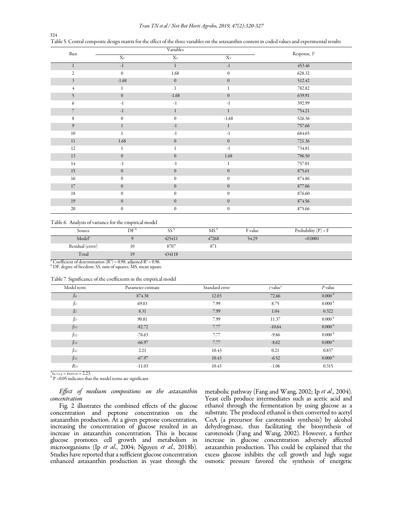#### Tran TN et al / Not Bot Horti Agrobo, 2019, 47(2):320-327

| Run            |                  | Variables        |                  | Response, Y |
|----------------|------------------|------------------|------------------|-------------|
|                | X <sub>1</sub>   | X <sub>2</sub>   | $X_3$            |             |
| $\mathbf{1}$   | $-1$             | $\,1$            | $^{\rm -1}$      | 453.46      |
| $\overline{2}$ | $\mathbf{0}$     | 1.68             | $\boldsymbol{0}$ | 628.32      |
| $\mathfrak{Z}$ | $-1.68$          | $\boldsymbol{0}$ | $\boldsymbol{0}$ | 512.42      |
| $\overline{4}$ | 1                | $\mathbf{1}$     | 1                | 782.82      |
| 5              | $\mathbf{0}$     | $-1.68$          | $\boldsymbol{0}$ | 639.91      |
| 6              | $-1$             | $-1$             | $^{\rm -1}$      | 392.99      |
| $\overline{7}$ | $^{\rm -1}$      | $\mathbf{1}$     | $\mathbf{1}$     | 754.21      |
| 8              | $\mathbf{0}$     | $\mathbf{0}$     | $-1.68$          | 526.36      |
| 9              | $\mathbf{1}$     | $-1$             | $\mathbf{1}$     | 757.66      |
| $10\,$         | 1                | $-1$             | $-1$             | 684.65      |
| $11\,$         | 1.68             | $\boldsymbol{0}$ | $\boldsymbol{0}$ | 721.36      |
| 12             | 1                |                  | $-1$             | 734.81      |
| 13             | $\mathbf{0}$     | $\boldsymbol{0}$ | 1.68             | 796.50      |
| 14             | $^{\rm -1}$      | $-1$             | 1                | 757.01      |
| $15\,$         | $\mathbf{0}$     | $\mathbf{0}$     | $\mathbf{0}$     | 875.61      |
| $16$           | $\mathbf{0}$     | $\boldsymbol{0}$ | $\boldsymbol{0}$ | 874.86      |
| $17\,$         | $\mathbf{0}$     | $\mathbf{0}$     | $\boldsymbol{0}$ | 877.06      |
| 18             | $\mathbf{0}$     | $\mathbf{0}$     | $\boldsymbol{0}$ | 876.60      |
| 19             | $\mathbf{0}$     | $\boldsymbol{0}$ | $\boldsymbol{0}$ | 874.56      |
| 20             | $\boldsymbol{0}$ | $\boldsymbol{0}$ | $\boldsymbol{0}$ | 875.66      |

324 Table 5. Central composite design matrix for the effect of the three variables on the astaxanthin content in coded values and experimental results

#### Table 6. Analysis of variance for the empirical model

| Source             | DF' | $\sim$ b<br>いい | MS    | F value | Probability $(P) > F$ |
|--------------------|-----|----------------|-------|---------|-----------------------|
| Model <sup>a</sup> |     | 425411         | 47268 | 54.29   | :0.0001               |
| Residual (error)   | 10  | 8707           | 871   |         |                       |
| Total              | 19  | 434118         |       |         |                       |

<sup>a</sup> Coefficient of determination  $(R^2)$  = 0.98; adjusted  $R^2$  = 0.96.<br><sup>b</sup> DF, degree of freedom; SS, sum of squares; MS, mean square.

|  |  |  |  |  |  |  |  |  | Table 7. Significance of the coefficients in the empirical model |  |  |
|--|--|--|--|--|--|--|--|--|------------------------------------------------------------------|--|--|
|  |  |  |  |  |  |  |  |  |                                                                  |  |  |

| $\sim$       |                    |                |                                     |                    |
|--------------|--------------------|----------------|-------------------------------------|--------------------|
| Model term   | Parameter estimate | Standard error | $t$ value <sup><math>a</math></sup> | $P$ value          |
| $\beta o$    | 874.38             | 12.03          | 72.66                               | 0.000 <sup>b</sup> |
| $\beta_I$    | 69.83              | 7.99           | 8.75                                | 0.000 <sup>b</sup> |
| $\beta$ 2    | 8.31               | 7.99           | 1.04                                | 0.322              |
| $\beta_3$    | 90.81              | 7.99           | 11.37                               | 0.000 <sup>b</sup> |
| $\beta_{II}$ | $-82.72$           | 7.77           | $-10.64$                            | 0.000 <sup>b</sup> |
| $\beta_{22}$ | $-76.63$           | 7.77           | $-9.86$                             | 0.000 <sup>b</sup> |
| $\beta_{33}$ | $-66.97$           | 7.77           | $-8.62$                             | 0.000 <sup>b</sup> |
| $\beta_{I2}$ | 2.21               | 10.43          | 0.21                                | 0.837              |
| $\beta_{13}$ | $-67.97$           | 10.43          | $-6.52$                             | 0.000 <sup>b</sup> |
| $B_{23}$     | $-11.03$           | 10.43          | $-1.06$                             | 0.315              |

 $a^{\text{at}}$  ta/2,n-p = t0.025,10 = 2.23.<br><sup>b</sup> P <0.05 indicates that the model terms are significant.

# Effect of medium compositions on the astaxanthin concentration

Fig. 2 illustrates the combined effects of the glucose concentration and peptone concentration on the astaxanthin production. At a given peptone concentration, increasing the concentration of glucose resulted in an increase in astaxanthin concentration. This is because glucose promotes cell growth and metabolism in microorganisms (Ip *et al.*, 2004; Nguyen *et al.*, 2018b). Studies have reported that a sufficient glucose concentration enhanced astaxanthin production in yeast through the metabolic pathway (Fang and Wang, 2002; Ip et al., 2004). Yeast cells produce intermediates such as acetic acid and ethanol through the fermentation by using glucose as a substrate. The produced ethanol is then converted to acetyl CoA (a precursor for carotenoids synthesis) by alcohol dehydrogenase, thus facilitating the biosynthesis of carotenoids (Fang and Wang, 2002). However, a further increase in glucose concentration adversely affected astaxanthin production. This could be explained that the excess glucose inhibits the cell growth and high sugar osmotic pressure favored the synthesis of energetic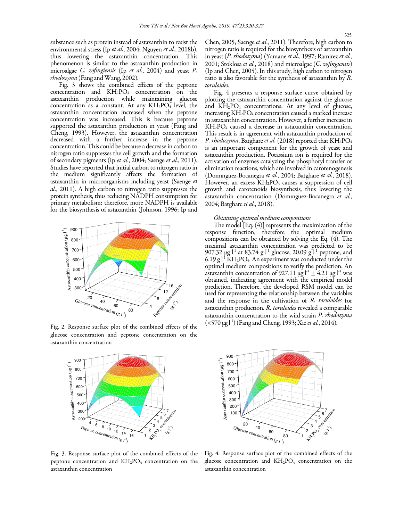substance such as protein instead of astaxanthin to resist the environmental stress (Ip et al., 2004; Nguyen et al., 2018b), thus lowering the astaxanthin concentration. This phenomenon is similar to the astaxanthin production in microalgae C. *zofingiensis* (Ip *et al.*, 2004) and yeast P. rhodozyma (Fang and Wang, 2002).

Fig. 3 shows the combined effects of the peptone concentration and  $KH_2PO_4$  concentration on the astaxanthin production while maintaining glucose concentration as a constant. At any  $KH_2PO_4$  level, the astaxanthin concentration increased when the peptone concentration was increased. This is because peptone supported the astaxanthin production in yeast (Fang and Cheng, 1993). However, the astaxanthin concentration decreased with a further increase in the peptone concentration. This could be because a decrease in carbon to nitrogen ratio suppresses the cell growth and the formation of secondary pigments (Ip et al., 2004; Saenge et al., 2011). Studies have reported that initial carbon to nitrogen ratio in the medium significantly affects the formation of astaxanthin in microorganisms including yeast (Saenge et al., 2011). A high carbon to nitrogen ratio suppresses the protein synthesis, thus reducing NADPH consumption for primary metabolism; therefore, more NADPH is available for the biosynthesis of astaxanthin (Johnson, 1996; Ip and



Fig. 2. Response surface plot of the combined effects of the glucose concentration and peptone concentration on the astaxanthin concentration



Fig. 3. Response surface plot of the combined effects of the peptone concentration and  $KH_2PO_4$  concentration on the astaxanthin concentration

Chen, 2005; Saenge et al., 2011). Therefore, high carbon to nitrogen ratio is required for the biosynthesis of astaxanthin in yeast (P. rhodozyma) (Yamane et al., 1997; Ramirez et al., 2001; Stoklosa et al., 2018) and microalgae (C. zofingiensis) (Ip and Chen, 2005). In this study, high carbon to nitrogen ratio is also favorable for the synthesis of astaxanthin by R. toruloides.

Fig. 4 presents a response surface curve obtained by plotting the astaxanthin concentration against the glucose and  $\text{KH}_2\text{PO}_4$  concentrations. At any level of glucose, increasing KH<sub>2</sub>PO<sub>4</sub> concentration caused a marked increase in astaxanthin concentration. However, a further increase in KH2PO<sup>4</sup> caused a decrease in astaxanthin concentration. This result is in agreement with astaxanthin production of P. rhodozyma. Batghare et al. (2018) reported that KH<sub>2</sub>PO<sub>4</sub> is an important component for the growth of yeast and astaxanthin production. Potassium ion is required for the activation of enzymes catalyzing the phosphoryl transfer or elimination reactions, which are involved in carotenogenesis (Domınguez-Bocanegra et al., 2004; Batghare et al., 2018). However, an excess KH<sub>2</sub>PO<sub>4</sub> causes a suppression of cell growth and carotenoids biosynthesis, thus lowering the astaxanthin concentration (Domınguez-Bocanegra et al., 2004; Batghare et al., 2018).

#### Obtaining optimal medium compositions

The model [Eq. (4)] represents the maximization of the response function; therefore the optimal medium compositions can be obtained by solving the Eq. (4). The maximal astaxanthin concentration was predicted to be 907.32  $\mu$ g l<sup>-1</sup> at 83.74 g l<sup>-1</sup> glucose, 20.09 g l<sup>-1</sup> peptone, and 6.19 g  $l^1$  KH<sub>2</sub>PO<sub>4</sub>. An experiment was conducted under the optimal medium compositions to verify the prediction. An astaxanthin concentration of 927.11  $\mu$ g l<sup>-1</sup> ± 4.21  $\mu$ g l<sup>-1</sup> was obtained, indicating agreement with the empirical model prediction. Therefore, the developed RSM model can be used for representing the relationship between the variables and the response in the cultivation of R. toruloides for astaxanthin production. R. toruloides revealed a comparable astaxanthin concentration to the wild strain P. rhodozyma (<570 μg l<sup>-1</sup>) (Fang and Cheng, 1993; Xie *et al.*, 2014).



Fig. 4. Response surface plot of the combined effects of the glucose concentration and  $KH_{2}PO_{4}$  concentration on the astaxanthin concentration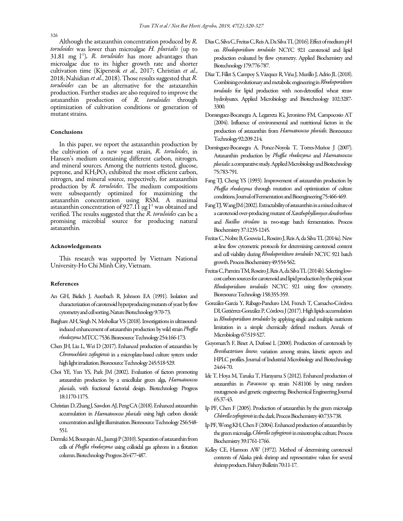Although the astaxanthin concentration produced by  $R$ . toruloides was lower than microalgae H. pluvialis (up to  $31.81$  mg  $\lfloor \cdot \rfloor$ , R. toruloides has more advantages than microalgae due to its higher growth rate and shorter cultivation time (Kiperstok et al., 2017; Christian et al., 2018; Nahidian et al., 2018). Those results suggested that R. toruloides can be an alternative for the astaxanthin production. Further studies are also required to improve the astaxanthin production of R. toruloides through optimization of cultivation conditions or generation of mutant strains.

#### Conclusions

In this paper, we report the astaxanthin production by the cultivation of a new yeast strain, R. toruloides, in Hansen's medium containing different carbon, nitrogen, and mineral sources. Among the nutrients tested, glucose, peptone, and KH2PO<sup>4</sup> exhibited the most efficient carbon, nitrogen, and mineral source, respectively, for astaxanthin production by R. toruloides. The medium compositions were subsequently optimized for maximizing the astaxanthin concentration using RSM. A maximal astaxanthin concentration of 927.11  $\mu$ g l<sup>-1</sup> was obtained and verified. The results suggested that the R. toruloides can be a promising microbial source for producing natural astaxanthin.

#### Acknowledgements

This research was supported by Vietnam National University-Ho Chi Minh City, Vietnam.

#### References

- An GH, Bielich J, Auerbach R, Johnson EA (1991). Isolation and characterization of carotenoid hyperproducing mutants of yeast by flow cytometry and cell sorting. Nature Biotechnology 9:70-73.
- Batghare AH, Singh N, Moholkar VS (2018). Investigations in ultrasoundinduced enhancement of astaxanthin production by wild strain *Phaffia* rhodozyma MTCC 7536. Bioresource Technology 254:166-173.
- Chen JH, Liu L, Wei D (2017). Enhanced production of astaxanthin by Chromochloris zofingiensis in a microplate-based culture system under high light irradiation. Bioresource Technology 245:518-529.
- Choi YE, Yun YS, Park JM (2002). Evaluation of factors promoting astaxanthin production by a unicellular green alga, Haematococcus pluvialis, with fractional factorial design. Biotechnology Progress 18:1170-1175.
- Christian D, Zhang J, Sawdon AJ, Peng CA (2018). Enhanced astaxanthin accumulation in Haematococcus pluvialis using high carbon dioxide concentration and light illumination. Bioresource Technology 256:548- 551.
- Dermiki M, Bourquin AL, Jauregi P (2010). Separation of astaxanthin from cells of Phaffia rhodozyma using colloidal gas aphrons in a flotation column. Biotechnology Progress 26:477-487.
- Dias C, Silva C, Freitas C, Reis A, Da Silva TL (2016). Effect of medium pH on Rhodosporidium toruloides NCYC 921 carotenoid and lipid production evaluated by flow cytometry. Applied Biochemistry and Biotechnology 179:776-787.
- Díaz T, Fillet S, Campoy S, Vázquez R, Viña J, Murillo J, Adrio JL (2018). Combining evolutionary and metabolic engineering in Rhodosporidium toruloides for lipid production with non-detoxified wheat straw hydrolysates. Applied Microbiology and Biotechnology 102:3287- 3300.
- Domınguez-Bocanegra A, Legarreta IG, Jeronimo FM, Campocosio AT (2004). Influence of environmental and nutritional factors in the production of astaxanthin from Haematococcus pluvialis. Bioresource Technology 92:209-214.
- Domínguez-Bocanegra A, Ponce-Noyola T, Torres-Muñoz J (2007). Astaxanthin production by Phaffia rhodozyma and Haematococcus pluvialis: a comparative study. Applied Microbiology and Biotechnology 75:783-791.
- Fang TJ, Cheng YS (1993). Improvement of astaxanthin production by Phaffia rhodozyma through mutation and optimization of culture conditions. Journal of Fermentation and Bioengineering 75:466-469.
- Fang TJ, Wang JM (2002). Extractability of astaxanthin in a mixed culture of a carotenoid over-producing mutant of Xanthophyllomyces dendrorhous and Bacillus circulans in two-stage batch fermentation. Process Biochemistry 37:1235-1245.
- Freitas C, Nobre B, Gouveia L, Roseiro J, Reis A, da Silva TL (2014a). New at-line flow cytometric protocols for determining carotenoid content and cell viability during Rhodosporidium toruloides NCYC 921 batch growth. Process Biochemistry 49:554-562.
- Freitas C, Parreira TM, Roseiro J, Reis A, da Silva TL (2014b). Selecting lowcost carbon sources for carotenoid and lipid production by the pink yeast Rhodosporidium toruloides NCYC 921 using flow cytometry. Bioresource Technology 158:355-359.
- González-García Y, Rábago-Panduro LM, French T, Camacho-Córdova DI, Gutiérrez-González P, Córdova J (2017). High lipids accumulation in Rhodosporidium toruloides by applying single and multiple nutrients limitation in a simple chemically defined medium. Annals of Microbiology 67:519-527.
- Guyomarc'h F, Binet A, Dufossé L (2000). Production of carotenoids by Brevibacterium linens: variation among strains, kinetic aspects and HPLC profiles. Journal of Industrial Microbiology and Biotechnology 24:64-70.
- Ide T, Hoya M, Tanaka T, Harayama S (2012). Enhanced production of astaxanthin in Paracoccus sp. strain N-81106 by using random mutagenesis and genetic engineering. Biochemical Engineering Journal 65:37-43.
- Ip PF, Chen F (2005). Production of astaxanthin by the green microalga Chlorella zofingiensis in the dark. Process Biochemistry 40:733-738.
- Ip PF, Wong KH, Chen F (2004). Enhanced production of astaxanthin by the green microalga Chlorella zofingiensis in mixotrophic culture. Process Biochemistry 39:1761-1766.
- Kelley CE, Harmon AW (1972). Method of determining carotenoid contents of Alaska pink shrimp and representative values for several shrimp products. Fishery Bulletin 70:11-17.